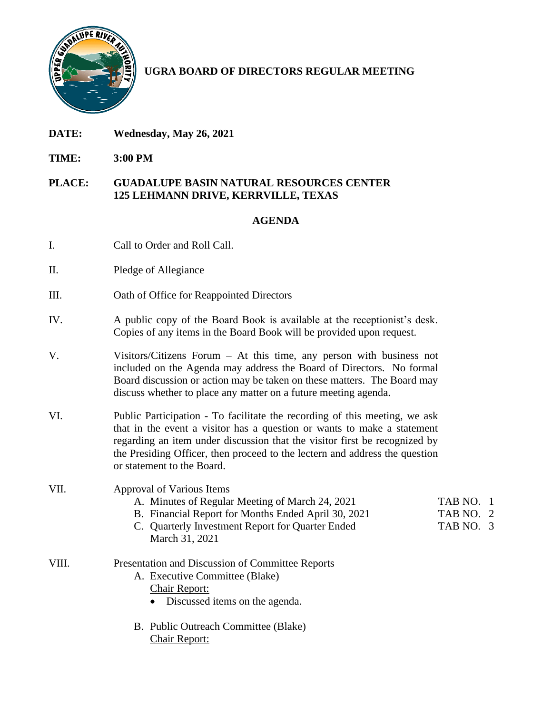

# **UGRA BOARD OF DIRECTORS REGULAR MEETING**

- **DATE: Wednesday, May 26, 2021**
- **TIME: 3:00 PM**

#### **PLACE: GUADALUPE BASIN NATURAL RESOURCES CENTER 125 LEHMANN DRIVE, KERRVILLE, TEXAS**

### **AGENDA**

- I. Call to Order and Roll Call.
- II. Pledge of Allegiance
- III. Oath of Office for Reappointed Directors
- IV. A public copy of the Board Book is available at the receptionist's desk. Copies of any items in the Board Book will be provided upon request.
- V. Visitors/Citizens Forum At this time, any person with business not included on the Agenda may address the Board of Directors. No formal Board discussion or action may be taken on these matters. The Board may discuss whether to place any matter on a future meeting agenda.
- VI. Public Participation To facilitate the recording of this meeting, we ask that in the event a visitor has a question or wants to make a statement regarding an item under discussion that the visitor first be recognized by the Presiding Officer, then proceed to the lectern and address the question or statement to the Board.
- VII. Approval of Various Items
	- A. Minutes of Regular Meeting of March 24, 2021 TAB NO. 1
	- B. Financial Report for Months Ended April 30, 2021 TAB NO. 2
	- C. Quarterly Investment Report for Quarter Ended TAB NO. 3 March 31, 2021
- VIII. Presentation and Discussion of Committee Reports
	- A. Executive Committee (Blake) Chair Report:
		- Discussed items on the agenda.
	- B. Public Outreach Committee (Blake) Chair Report: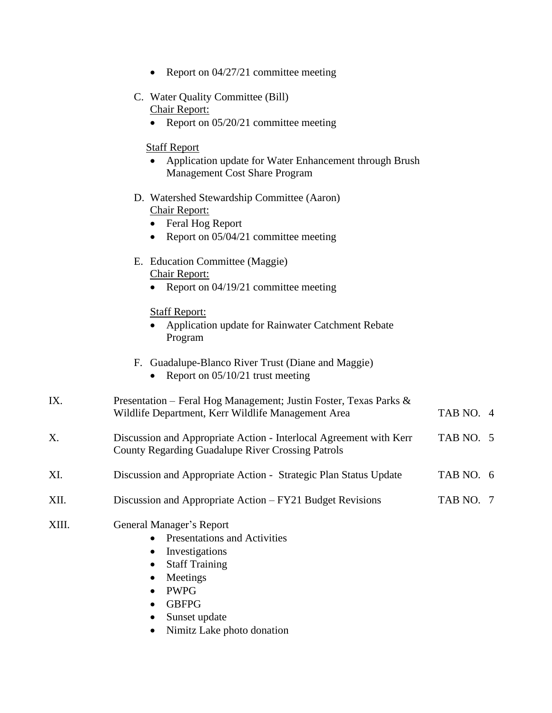|  |  |  | Report on 04/27/21 committee meeting |  |
|--|--|--|--------------------------------------|--|
|--|--|--|--------------------------------------|--|

- C. Water Quality Committee (Bill) Chair Report:
	- Report on 05/20/21 committee meeting

#### Staff Report

- Application update for Water Enhancement through Brush Management Cost Share Program
- D. Watershed Stewardship Committee (Aaron) Chair Report:
	- Feral Hog Report
	- Report on 05/04/21 committee meeting
- E. Education Committee (Maggie) Chair Report:
	- Report on 04/19/21 committee meeting

#### Staff Report:

- Application update for Rainwater Catchment Rebate Program
- F. Guadalupe-Blanco River Trust (Diane and Maggie)
	- Report on 05/10/21 trust meeting

| IX. | Presentation – Feral Hog Management; Justin Foster, Texas Parks & |           |  |  |
|-----|-------------------------------------------------------------------|-----------|--|--|
|     | Wildlife Department, Kerr Wildlife Management Area                | TAB NO. 4 |  |  |
|     |                                                                   |           |  |  |

- X. Discussion and Appropriate Action Interlocal Agreement with Kerr TAB NO. 5 County Regarding Guadalupe River Crossing Patrols
- XI. Discussion and Appropriate Action Strategic Plan Status Update TAB NO. 6
- XII. Discussion and Appropriate Action FY21 Budget Revisions TAB NO. 7

#### XIII. General Manager's Report

- Presentations and Activities
- Investigations
- Staff Training
- Meetings
- PWPG
- GBFPG
- Sunset update
- Nimitz Lake photo donation